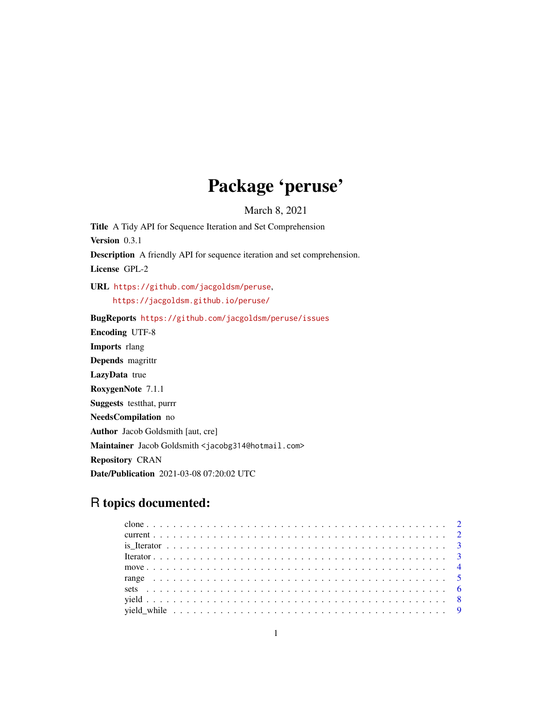## Package 'peruse'

March 8, 2021

<span id="page-0-0"></span>Title A Tidy API for Sequence Iteration and Set Comprehension Version 0.3.1 Description A friendly API for sequence iteration and set comprehension. License GPL-2 URL <https://github.com/jacgoldsm/peruse>, <https://jacgoldsm.github.io/peruse/> BugReports <https://github.com/jacgoldsm/peruse/issues> Encoding UTF-8 Imports rlang Depends magrittr LazyData true RoxygenNote 7.1.1 Suggests testthat, purrr NeedsCompilation no Author Jacob Goldsmith [aut, cre] Maintainer Jacob Goldsmith <jacobg314@hotmail.com> Repository CRAN Date/Publication 2021-03-08 07:20:02 UTC

### R topics documented: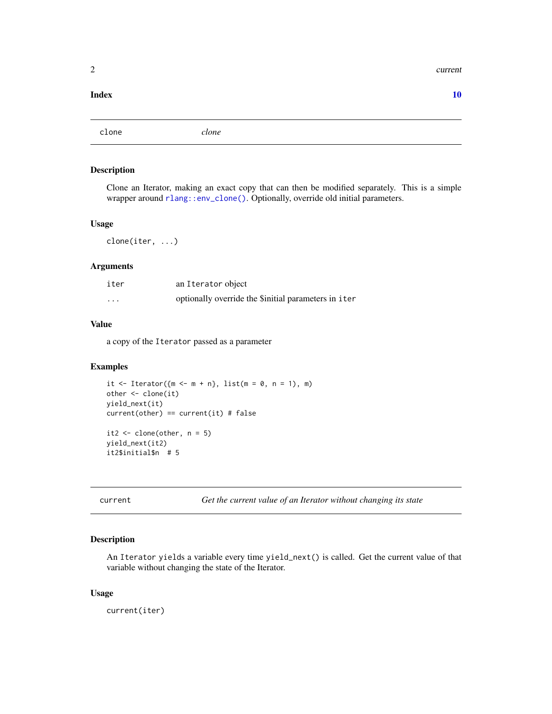#### <span id="page-1-0"></span> $2 \t\t current$

#### $\blacksquare$

<span id="page-1-1"></span>clone *clone*

#### Description

Clone an Iterator, making an exact copy that can then be modified separately. This is a simple wrapper around [rlang::env\\_clone\(\)](#page-0-0). Optionally, override old initial parameters.

#### Usage

clone(iter, ...)

#### Arguments

| iter     | an Iterator object                                   |
|----------|------------------------------------------------------|
| $\cdots$ | optionally override the \$initial parameters in iter |

#### Value

a copy of the Iterator passed as a parameter

#### Examples

```
it \leq Iterator({m \leq m + n}, list(m = 0, n = 1), m)
other <- clone(it)
yield_next(it)
current(other) == current(it) # false
it2 \leftarrow clone(other, n = 5)
yield_next(it2)
it2$initial$n # 5
```
<span id="page-1-2"></span>current *Get the current value of an Iterator without changing its state*

#### Description

An Iterator yields a variable every time yield\_next() is called. Get the current value of that variable without changing the state of the Iterator.

#### Usage

current(iter)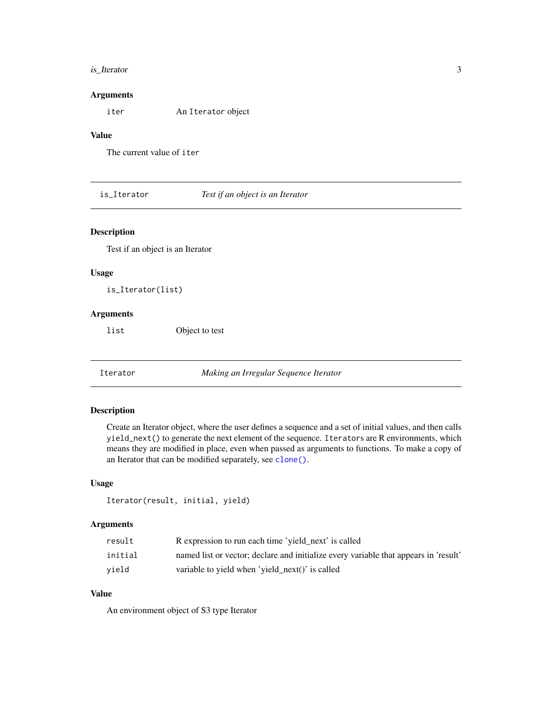#### <span id="page-2-0"></span>is\_Iterator 3

#### Arguments

iter An Iterator object

#### Value

The current value of iter

is\_Iterator *Test if an object is an Iterator*

#### Description

Test if an object is an Iterator

#### Usage

is\_Iterator(list)

#### Arguments

list Object to test

Iterator *Making an Irregular Sequence Iterator*

#### Description

Create an Iterator object, where the user defines a sequence and a set of initial values, and then calls yield\_next() to generate the next element of the sequence. Iterators are R environments, which means they are modified in place, even when passed as arguments to functions. To make a copy of an Iterator that can be modified separately, see [clone\(\)](#page-1-1).

#### Usage

```
Iterator(result, initial, yield)
```
#### Arguments

| result  | R expression to run each time 'yield_next' is called                                 |
|---------|--------------------------------------------------------------------------------------|
| initial | named list or vector; declare and initialize every variable that appears in 'result' |
| vield   | variable to yield when 'yield_next()' is called                                      |

#### Value

An environment object of S3 type Iterator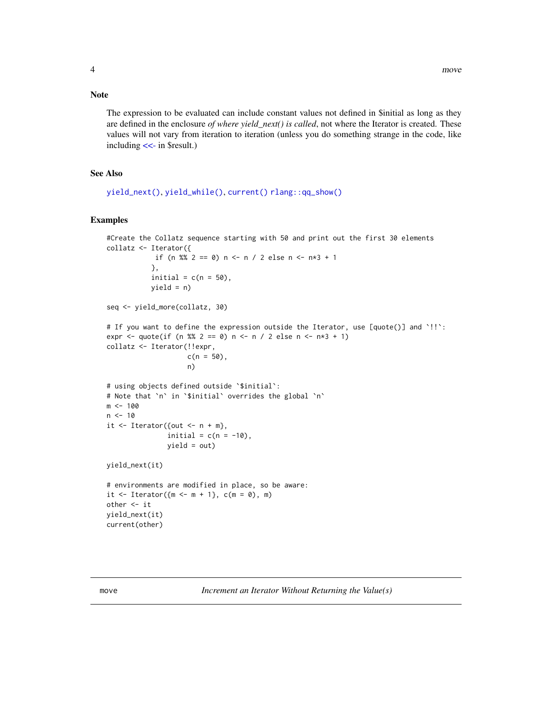#### <span id="page-3-0"></span>Note

The expression to be evaluated can include constant values not defined in \$initial as long as they are defined in the enclosure *of where yield\_next() is called*, not where the Iterator is created. These values will not vary from iteration to iteration (unless you do something strange in the code, like including [<<-](#page-0-0) in \$result.)

#### See Also

[yield\\_next\(\)](#page-7-1), [yield\\_while\(\)](#page-8-1), [current\(\)](#page-1-2) [rlang::qq\\_show\(\)](#page-0-0)

#### Examples

```
#Create the Collatz sequence starting with 50 and print out the first 30 elements
collatz <- Iterator({
            if (n %% 2 == 0) n <- n / 2 else n <- n *3 + 1
           },
           initial = c(n = 50),
           yield = n)
seq <- yield_more(collatz, 30)
# If you want to define the expression outside the Iterator, use [quote()] and `!!`:
expr <- quote(if (n %% 2 == 0) n <- n / 2 else n <- n *3 + 1)
collatz <- Iterator(!!expr,
                    c(n = 50),
                    n)
# using objects defined outside `$initial`:
# Note that `n` in `$initial` overrides the global `n`
m <- 100
n < -10it \leq Iterator({out \leq n + m},
               initial = c(n = -10),
               yield = out)
yield_next(it)
# environments are modified in place, so be aware:
it <- Iterator({m \le m + 1}, c(m = 0), m)
other <- it
yield_next(it)
current(other)
```
move *Increment an Iterator Without Returning the Value(s)*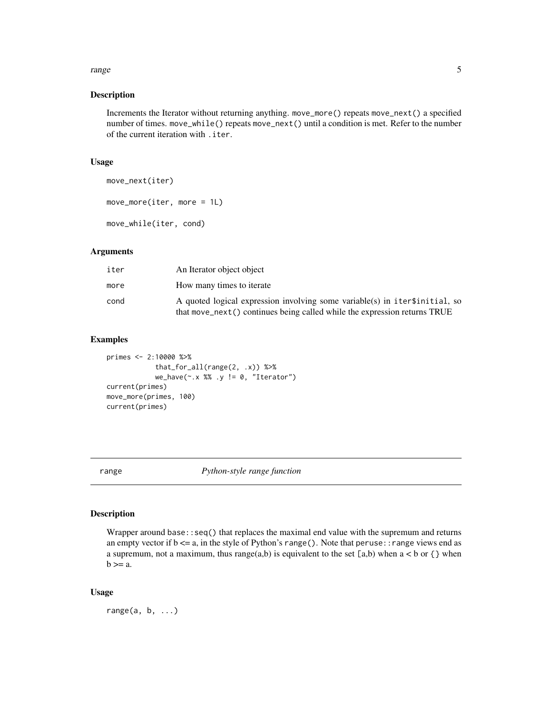#### <span id="page-4-0"></span>range 5 and 5 and 5 and 5 and 5 and 5 and 5 and 5 and 5 and 5 and 5 and 5 and 5 and 5 and 5 and 5 and 5 and 5 and 5 and 5 and 5 and 5 and 5 and 5 and 5 and 5 and 5 and 5 and 5 and 5 and 5 and 5 and 5 and 5 and 5 and 5 and

### Description

Increments the Iterator without returning anything. move\_more() repeats move\_next() a specified number of times. move\_while() repeats move\_next() until a condition is met. Refer to the number of the current iteration with .iter.

#### Usage

```
move_next(iter)
move_more(iter, more = 1L)
move_while(iter, cond)
```
#### Arguments

| iter | An Iterator object object                                                                                                                                |
|------|----------------------------------------------------------------------------------------------------------------------------------------------------------|
| more | How many times to iterate                                                                                                                                |
| cond | A quoted logical expression involving some variable(s) in iterstinitial, so<br>that move_next() continues being called while the expression returns TRUE |

#### Examples

```
primes <- 2:10000 %>%
            that_for_all(range(2, .x)) %>%
            we_have(~.x %% .y != 0, "Iterator")
current(primes)
move_more(primes, 100)
current(primes)
```
<span id="page-4-1"></span>range *Python-style range function*

#### Description

Wrapper around base::seq() that replaces the maximal end value with the supremum and returns an empty vector if  $b \le a$ , in the style of Python's range(). Note that peruse: : range views end as a supremum, not a maximum, thus range(a,b) is equivalent to the set [a,b) when  $a < b$  or { } when  $b >= a$ .

#### Usage

range $(a, b, \ldots)$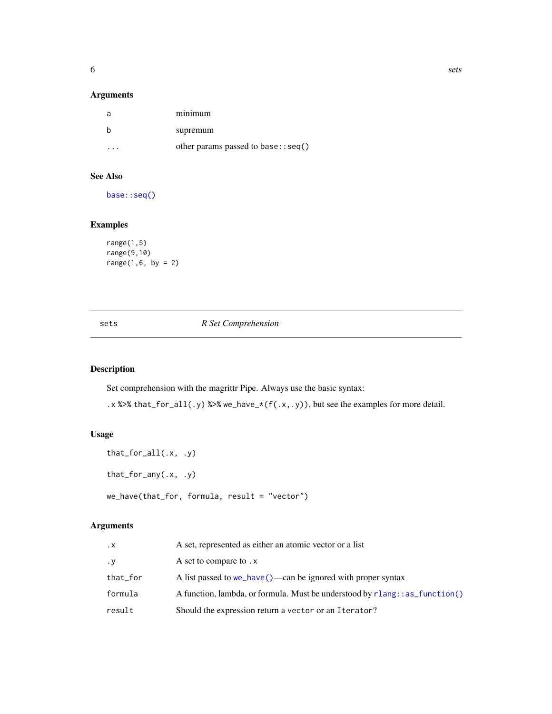<span id="page-5-0"></span>

#### Arguments

| a         | $m$ <sub>1</sub> $m$ $m$             |
|-----------|--------------------------------------|
|           | supremum                             |
| $\cdot$ . | other params passed to base: : seq() |

#### See Also

[base::seq\(\)](#page-0-0)

### Examples

```
range(1,5)
range(9,10)
range(1, 6, by = 2)
```
#### sets *R Set Comprehension*

#### <span id="page-5-1"></span>Description

Set comprehension with the magrittr Pipe. Always use the basic syntax:

.x %>% that\_for\_all(.y) %>% we\_have\_\*(f(.x,.y)), but see the examples for more detail.

#### Usage

```
that_for_all(.x, .y)
that_for_any(.x, .y)
we_have(that_for, formula, result = "vector")
```
#### Arguments

| $\cdot$ X | A set, represented as either an atomic vector or a list                         |
|-----------|---------------------------------------------------------------------------------|
| $\cdot$ Y | A set to compare to .x                                                          |
| that_for  | A list passed to $we_{have}()$ —can be ignored with proper syntax               |
| formula   | A function, lambda, or formula. Must be understood by $r$ lang: : as function() |
| result    | Should the expression return a vector or an Iterator?                           |

6 sets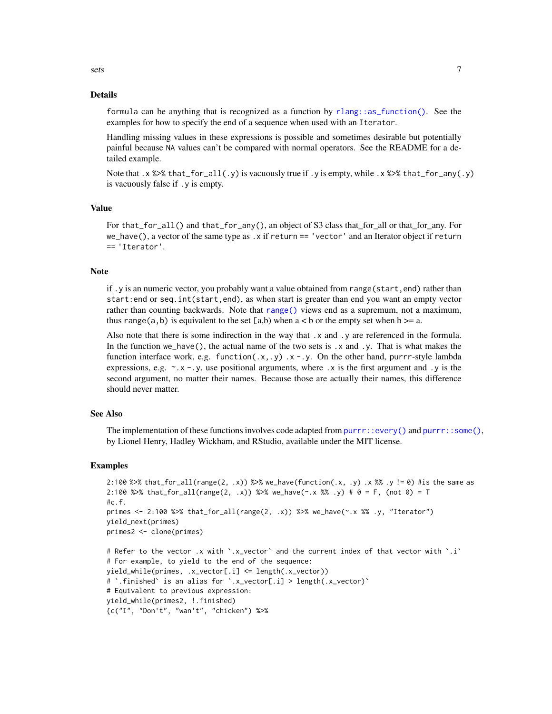#### <span id="page-6-0"></span>Details

formula can be anything that is recognized as a function by [rlang::as\\_function\(\)](#page-0-0). See the examples for how to specify the end of a sequence when used with an Iterator.

Handling missing values in these expressions is possible and sometimes desirable but potentially painful because NA values can't be compared with normal operators. See the README for a detailed example.

Note that . x % $\gg$  that \_for\_all(.y) is vacuously true if . y is empty, while . x % $\gg$  that \_for\_any(.y) is vacuously false if .y is empty.

#### Value

For that\_for\_all() and that\_for\_any(), an object of S3 class that\_for\_all or that\_for\_any. For we\_have(), a vector of the same type as . x if return == 'vector' and an Iterator object if return == 'Iterator'.

#### Note

if .y is an numeric vector, you probably want a value obtained from range(start, end) rather than start:end or seq.int(start,end), as when start is greater than end you want an empty vector rather than counting backwards. Note that [range\(\)](#page-4-1) views end as a supremum, not a maximum, thus range(a,b) is equivalent to the set [a,b) when  $a < b$  or the empty set when  $b \ge a$ .

Also note that there is some indirection in the way that .x and .y are referenced in the formula. In the function we\_have(), the actual name of the two sets is  $\cdot x$  and  $\cdot y$ . That is what makes the function interface work, e.g. function( $x, y$ )  $x - y$ . On the other hand, purrr-style lambda expressions, e.g.  $\sim$ .x -.y, use positional arguments, where .x is the first argument and .y is the second argument, no matter their names. Because those are actually their names, this difference should never matter.

#### See Also

The implementation of these functions involves code adapted from  $\text{purr}: \text{every}()$  and  $\text{purr}: \text{some}(),$ by Lionel Henry, Hadley Wickham, and RStudio, available under the MIT license.

#### Examples

```
2:100 %\gg% that_for_all(range(2, .x)) %\gg% we_have(function(.x, .y) .x %% .y != 0) #is the same as
2:100 %>% that_for_all(range(2, .x)) %>% we_have(\sim.x %% .y) # 0 = F, (not 0) = T
\#c.f.primes <- 2:100 %>% that_for_all(range(2, .x)) %>% we_have(~.x %% .y, "Iterator")
yield_next(primes)
primes2 <- clone(primes)
# Refer to the vector .x with `.x_vector` and the current index of that vector with `.i`
# For example, to yield to the end of the sequence:
yield_while(primes, .x_vector[.i] <= length(.x_vector))
# `.finished` is an alias for `.x_vector[.i] > length(.x_vector)`
# Equivalent to previous expression:
yield_while(primes2, !.finished)
{c("I", "Don't", "wan't", "chicken") %>%
```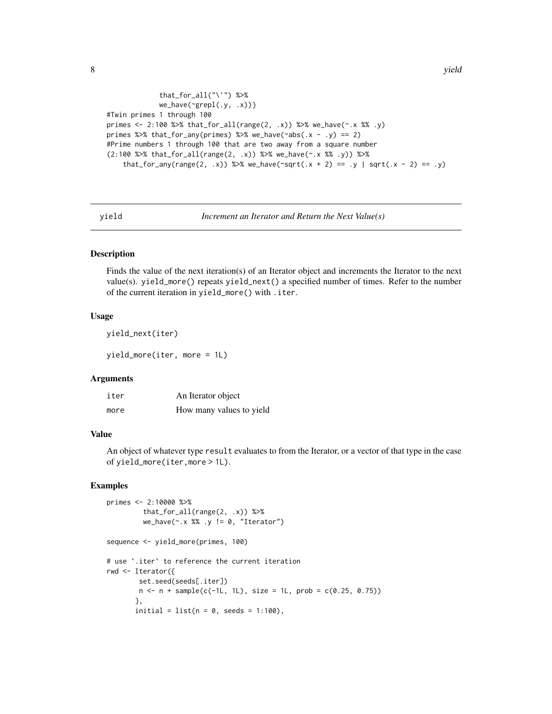```
that_for_all("\'") %>%
             we_have(~grepl(.y, .x))}
#Twin primes 1 through 100
primes <- 2:100 %>% that_for_all(range(2, .x)) %>% we_have(\sim.x %% .y)
primes %>% that_for_any(primes) %>% we_have(\text{cabs}(.x - .y) == 2)
#Prime numbers 1 through 100 that are two away from a square number
(2:100 %>% that_for_all(range(2, .x)) %>% we_have(~.x %% .y)) %>%
    that_for_any(range(2, .x)) %>% we_have(\text{``sqrt}.x + 2) == .y | sqrt(.x - 2) == .y)
```
yield *Increment an Iterator and Return the Next Value(s)*

#### <span id="page-7-1"></span>Description

Finds the value of the next iteration(s) of an Iterator object and increments the Iterator to the next value(s). yield\_more() repeats yield\_next() a specified number of times. Refer to the number of the current iteration in yield\_more() with .iter.

#### Usage

```
yield_next(iter)
```
yield\_more(iter, more = 1L)

#### Arguments

| iter | An Iterator object       |
|------|--------------------------|
| more | How many values to yield |

#### Value

An object of whatever type result evaluates to from the Iterator, or a vector of that type in the case of yield\_more(iter,more > 1L).

#### Examples

```
primes <- 2:10000 %>%
         that_for_all(range(2, .x)) %>%
        we_have(\sim.x %% .y != 0, "Iterator")
sequence <- yield_more(primes, 100)
# use `.iter` to reference the current iteration
rwd <- Iterator({
       set.seed(seeds[.iter])
       n \leq n + sample(c(-1L, 1L), size = 1L, prob = c(0.25, 0.75))},
       initial = list(n = 0, seeds = 1:100),
```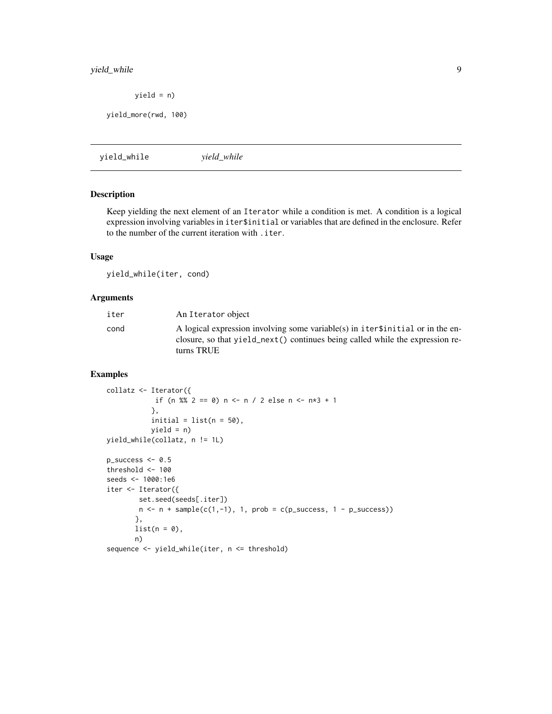#### <span id="page-8-0"></span>yield\_while 9

 $yield = n)$ 

yield\_more(rwd, 100)

<span id="page-8-1"></span>yield\_while *yield\_while*

#### Description

Keep yielding the next element of an Iterator while a condition is met. A condition is a logical expression involving variables in iter\$initial or variables that are defined in the enclosure. Refer to the number of the current iteration with .iter.

#### Usage

yield\_while(iter, cond)

#### Arguments

| iter | An Iterator object                                                                                                                                                            |
|------|-------------------------------------------------------------------------------------------------------------------------------------------------------------------------------|
| cond | A logical expression involving some variable(s) in iters initial or in the en-<br>closure, so that yield_next() continues being called while the expression re-<br>turns TRUE |

#### Examples

```
collatz <- Iterator({
            if (n %% 2 == 0) n <- n / 2 else n <- n*3 + 1
           },
           initial = list(n = 50),
           yield = n)
yield_while(collatz, n != 1L)
p\_success \leftarrow 0.5threshold <-100seeds <- 1000:1e6
iter <- Iterator({
        set.seed(seeds[.iter])
       n \leq n + sample(c(1, -1), 1, prob = c(p\_success, 1 - p\_success))},
       list(n = 0),
       n)
sequence <- yield_while(iter, n <= threshold)
```